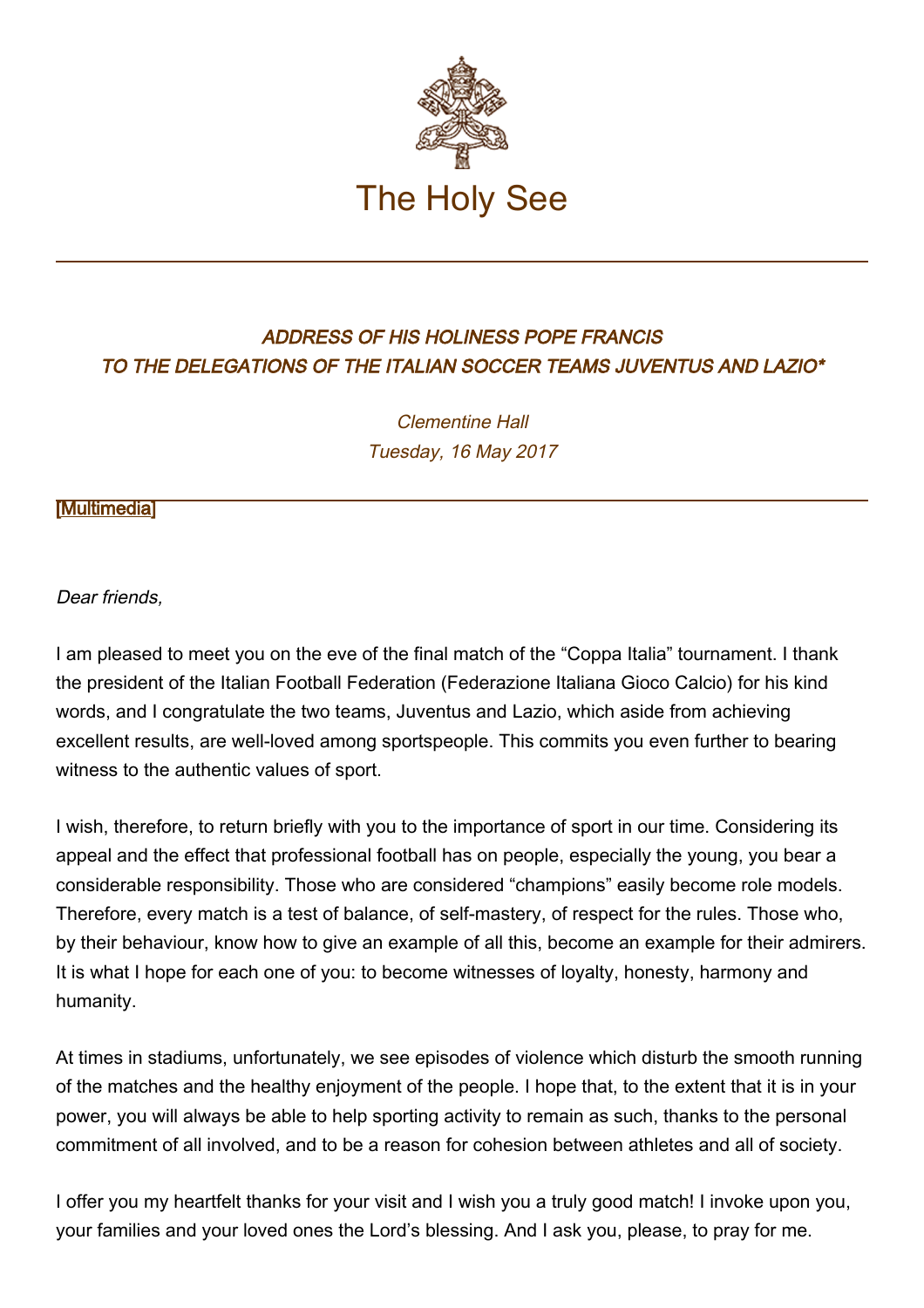

## ADDRESS OF HIS HOLINESS POPE FRANCIS TO THE DELEGATIONS OF THE ITALIAN SOCCER TEAMS JUVENTUS AND LAZIO\*

Clementine Hall Tuesday, 16 May 2017

## [\[Multimedia](http://w2.vatican.va/content/francesco/en/events/event.dir.html/content/vaticanevents/en/2017/5/16/seriea-juventus-lazio.html)]

Dear friends,

I am pleased to meet you on the eve of the final match of the "Coppa Italia" tournament. I thank the president of the Italian Football Federation (Federazione Italiana Gioco Calcio) for his kind words, and I congratulate the two teams, Juventus and Lazio, which aside from achieving excellent results, are well-loved among sportspeople. This commits you even further to bearing witness to the authentic values of sport.

I wish, therefore, to return briefly with you to the importance of sport in our time. Considering its appeal and the effect that professional football has on people, especially the young, you bear a considerable responsibility. Those who are considered "champions" easily become role models. Therefore, every match is a test of balance, of self-mastery, of respect for the rules. Those who, by their behaviour, know how to give an example of all this, become an example for their admirers. It is what I hope for each one of you: to become witnesses of loyalty, honesty, harmony and humanity.

At times in stadiums, unfortunately, we see episodes of violence which disturb the smooth running of the matches and the healthy enjoyment of the people. I hope that, to the extent that it is in your power, you will always be able to help sporting activity to remain as such, thanks to the personal commitment of all involved, and to be a reason for cohesion between athletes and all of society.

I offer you my heartfelt thanks for your visit and I wish you a truly good match! I invoke upon you, your families and your loved ones the Lord's blessing. And I ask you, please, to pray for me.